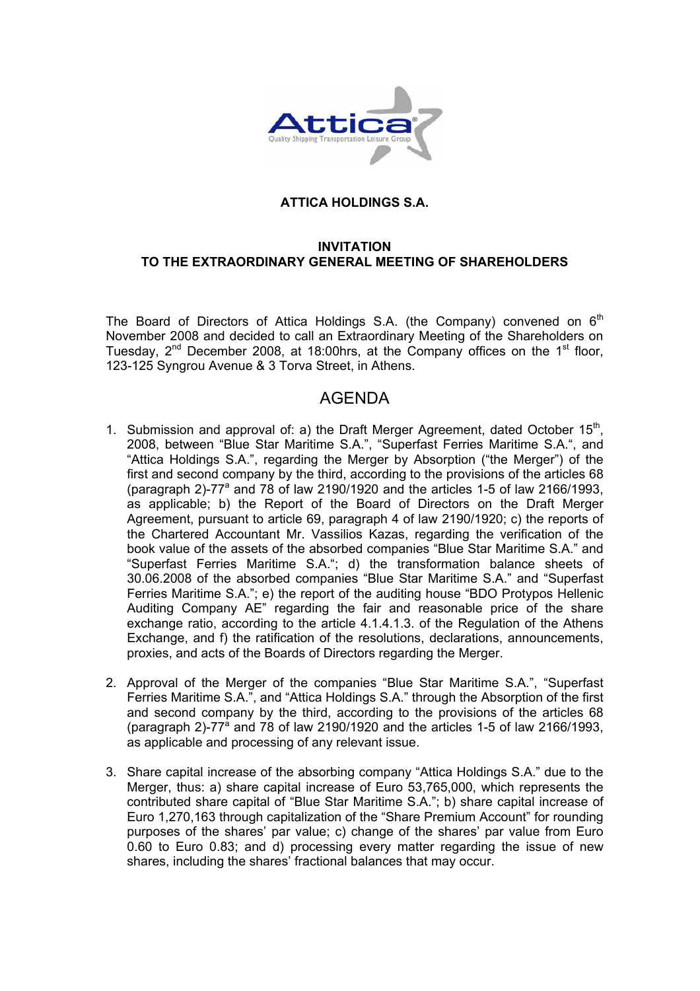

## **ATTICA HOLDINGS S.A.**

## **INVITATION TO THE EXTRAORDINARY GENERAL MEETING OF SHAREHOLDERS**

The Board of Directors of Attica Holdings S.A. (the Company) convened on  $6<sup>th</sup>$ November 2008 and decided to call an Extraordinary Meeting of the Shareholders on Tuesday,  $2^{nd}$  December 2008, at 18:00hrs, at the Company offices on the  $1<sup>st</sup>$  floor, 123-125 Syngrou Avenue & 3 Torva Street, in Athens.

## AGENDA

- 1. Submission and approval of: a) the Draft Merger Agreement, dated October  $15<sup>th</sup>$ , 2008, between "Blue Star Maritime S.A.", "Superfast Ferries Maritime S.A.", and "Attica Holdings S.A.", regarding the Merger by Absorption ("the Merger") of the first and second company by the third, according to the provisions of the articles 68 (paragraph 2)-77 $^{\circ}$  and 78 of law 2190/1920 and the articles 1-5 of law 2166/1993, as applicable; b) the Report of the Board of Directors on the Draft Merger Agreement, pursuant to article 69, paragraph 4 of law 2190/1920; c) the reports of the Chartered Accountant Mr. Vassilios Kazas, regarding the verification of the book value of the assets of the absorbed companies "Blue Star Maritime S.A." and "Superfast Ferries Maritime S.A."; d) the transformation balance sheets of 30.06.2008 of the absorbed companies "Blue Star Maritime S.A." and "Superfast Ferries Maritime S.A."; e) the report of the auditing house "BDO Protypos Hellenic Auditing Company AE" regarding the fair and reasonable price of the share exchange ratio, according to the article 4.1.4.1.3. of the Regulation of the Athens Exchange, and f) the ratification of the resolutions, declarations, announcements, proxies, and acts of the Boards of Directors regarding the Merger.
- 2. Approval of the Merger of the companies "Blue Star Maritime S.A.", "Superfast Ferries Maritime S.A.", and "Attica Holdings S.A." through the Absorption of the first and second company by the third, according to the provisions of the articles 68 (paragraph 2)-77 $^{\circ}$  and 78 of law 2190/1920 and the articles 1-5 of law 2166/1993, as applicable and processing of any relevant issue.
- 3. Share capital increase of the absorbing company "Attica Holdings S.A." due to the Merger, thus: a) share capital increase of Euro 53,765,000, which represents the contributed share capital of "Blue Star Maritime S.A."; b) share capital increase of Euro 1,270,163 through capitalization of the "Share Premium Account" for rounding purposes of the shares' par value; c) change of the shares' par value from Euro 0.60 to Euro 0.83; and d) processing every matter regarding the issue of new shares, including the shares' fractional balances that may occur.